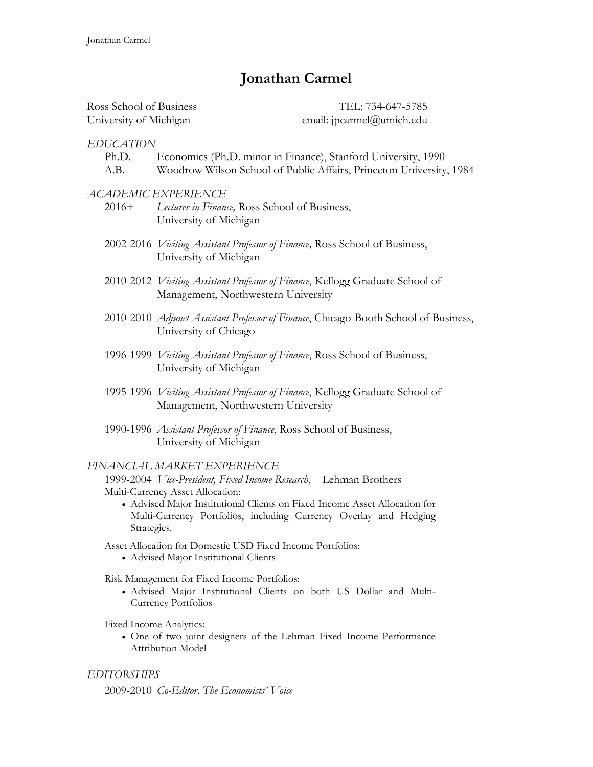# **Jonathan Carmel**

| Ross School of Business | TEL: 734-647-5785         |
|-------------------------|---------------------------|
| University of Michigan  | email: jpcarmel@umich.edu |

## *EDUCATION*

- Ph.D. Economics (Ph.D. minor in Finance), Stanford University, 1990
- A.B. Woodrow Wilson School of Public Affairs, Princeton University, 1984

#### *ACADEMIC EXPERIENCE*

- 2016+ *Lecturer in Finance,* Ross School of Business, University of Michigan
- 2002-2016 *Visiting Assistant Professor of Finance,* Ross School of Business, University of Michigan
- 2010-2012 *Visiting Assistant Professor of Finance*, Kellogg Graduate School of Management, Northwestern University
- 2010-2010 *Adjunct Assistant Professor of Finance*, Chicago-Booth School of Business, University of Chicago
- 1996-1999 *Visiting Assistant Professor of Finance*, Ross School of Business, University of Michigan
- 1995-1996 *Visiting Assistant Professor of Finance*, Kellogg Graduate School of Management, Northwestern University
- 1990-1996 *Assistant Professor of Finance*, Ross School of Business, University of Michigan

#### *FINANCIAL MARKET EXPERIENCE*

1999-2004 *Vice-President, Fixed Income Research*, Lehman Brothers Multi-Currency Asset Allocation:

- Advised Major Institutional Clients on Fixed Income Asset Allocation for Multi-Currency Portfolios, including Currency Overlay and Hedging Strategies.
- Asset Allocation for Domestic USD Fixed Income Portfolios:
	- Advised Major Institutional Clients
- Risk Management for Fixed Income Portfolios:
	- Advised Major Institutional Clients on both US Dollar and Multi-Currency Portfolios
- Fixed Income Analytics:
	- One of two joint designers of the Lehman Fixed Income Performance Attribution Model

# *EDITORSHIPS*

2009-2010 *Co-Editor, The Economists' Voice*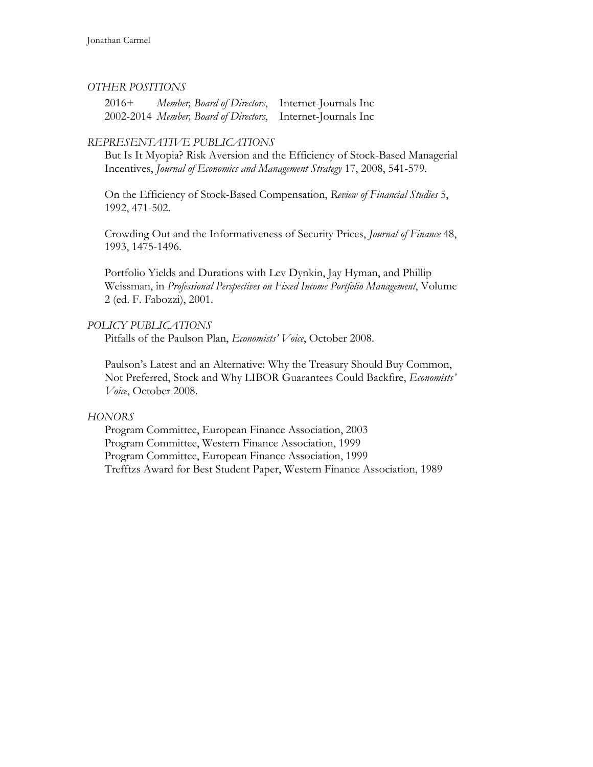# *OTHER POSITIONS*

2016+ *Member, Board of Directors*, Internet-Journals Inc 2002-2014 *Member, Board of Directors*, Internet-Journals Inc

# *REPRESENTATIVE PUBLICATIONS*

But Is It Myopia? Risk Aversion and the Efficiency of Stock-Based Managerial Incentives, *Journal of Economics and Management Strategy* 17, 2008, 541-579.

On the Efficiency of Stock-Based Compensation, *Review of Financial Studies* 5, 1992, 471-502.

Crowding Out and the Informativeness of Security Prices, *Journal of Finance* 48, 1993, 1475-1496.

Portfolio Yields and Durations with Lev Dynkin, Jay Hyman, and Phillip Weissman, in *Professional Perspectives on Fixed Income Portfolio Management*, Volume 2 (ed. F. Fabozzi), 2001.

# *POLICY PUBLICATIONS*

Pitfalls of the Paulson Plan, *Economists' Voice*, October 2008.

Paulson's Latest and an Alternative: Why the Treasury Should Buy Common, Not Preferred, Stock and Why LIBOR Guarantees Could Backfire, *Economists' Voice*, October 2008.

# *HONORS*

Program Committee, European Finance Association, 2003 Program Committee, Western Finance Association, 1999 Program Committee, European Finance Association, 1999 Trefftzs Award for Best Student Paper, Western Finance Association, 1989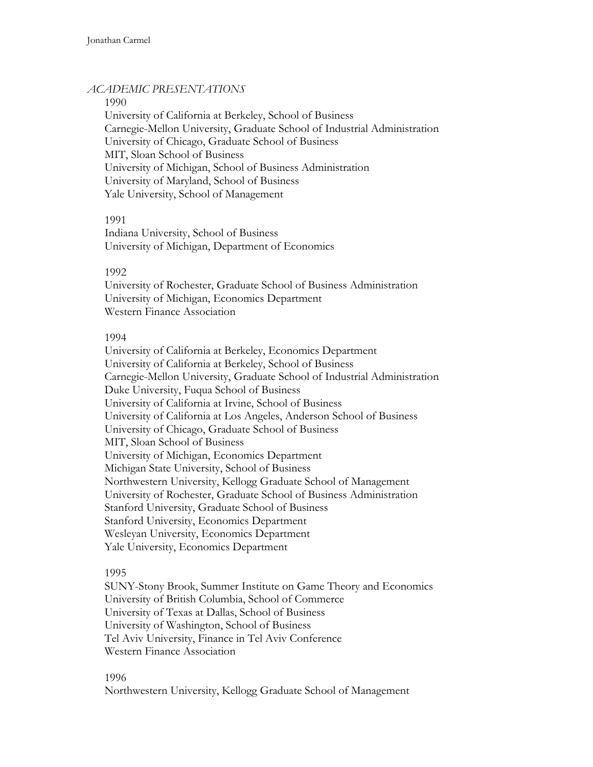# *ACADEMIC PRESENTATIONS*

#### 1990

University of California at Berkeley, School of Business Carnegie-Mellon University, Graduate School of Industrial Administration University of Chicago, Graduate School of Business MIT, Sloan School of Business University of Michigan, School of Business Administration University of Maryland, School of Business Yale University, School of Management

# 1991

Indiana University, School of Business University of Michigan, Department of Economics

# 1992

University of Rochester, Graduate School of Business Administration University of Michigan, Economics Department Western Finance Association

# 1994

University of California at Berkeley, Economics Department University of California at Berkeley, School of Business Carnegie-Mellon University, Graduate School of Industrial Administration Duke University, Fuqua School of Business University of California at Irvine, School of Business University of California at Los Angeles, Anderson School of Business University of Chicago, Graduate School of Business MIT, Sloan School of Business University of Michigan, Economics Department Michigan State University, School of Business Northwestern University, Kellogg Graduate School of Management University of Rochester, Graduate School of Business Administration Stanford University, Graduate School of Business Stanford University, Economics Department Wesleyan University, Economics Department Yale University, Economics Department

# 1995

SUNY-Stony Brook, Summer Institute on Game Theory and Economics University of British Columbia, School of Commerce University of Texas at Dallas, School of Business University of Washington, School of Business Tel Aviv University, Finance in Tel Aviv Conference Western Finance Association

# 1996

Northwestern University, Kellogg Graduate School of Management